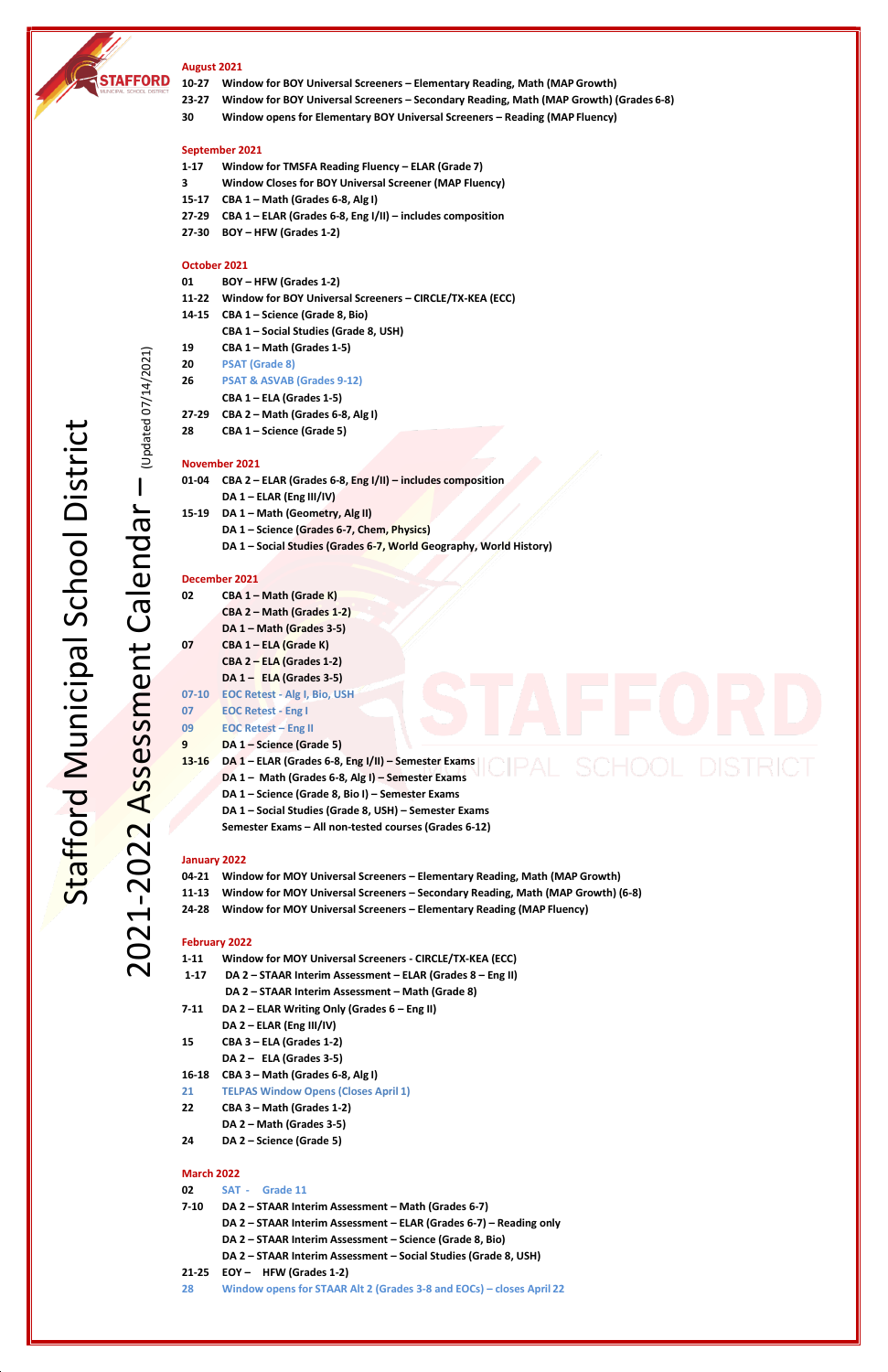

2021

-2022

Assessment

Calendar

– (Updated 07/14/2021)

(Updated 07/14/2021)

### **August 2021**

- **10-27 Window for BOY Universal Screeners – Elementary Reading, Math (MAP Growth)**
- **23-27 Window for BOY Universal Screeners – Secondary Reading, Math (MAP Growth) (Grades 6-8)**
- **30 Window opens for Elementary BOY Universal Screeners – Reading (MAP Fluency)**

## **September 2021**

- **1-17 Window for TMSFA Reading Fluency – ELAR (Grade 7)**
- **3 Window Closes for BOY Universal Screener (MAP Fluency)**
- **15-17 CBA 1 – Math (Grades 6-8, Alg I)**
- **27-29 CBA 1 – ELAR (Grades 6-8, Eng I/II) – includes composition**
- **27-30 BOY – HFW (Grades 1-2)**

### **October 2021**

- **01 BOY – HFW (Grades 1-2)**
- **11-22 Window for BOY Universal Screeners – CIRCLE/TX-KEA (ECC)**
- **14-15 CBA 1 – Science (Grade 8, Bio)**
	- **CBA 1 – Social Studies (Grade 8, USH)**
- **19 CBA 1 – Math (Grades 1-5)**
- **20 PSAT (Grade 8)**
- **26 PSAT & ASVAB (Grades 9-12)**
	- **CBA 1 – ELA (Grades 1-5)**
- **27-29 CBA 2 – Math (Grades 6-8, Alg I)**
- **28 CBA 1 – Science (Grade 5)**

### **November 2021**

| 01-04 | CBA 2 - ELAR (Grades 6-8, Eng I/II) - includes composition         |
|-------|--------------------------------------------------------------------|
|       | DA $1 - ELR$ (Eng III/IV)                                          |
| 15-19 | DA 1 - Math (Geometry, Alg II)                                     |
|       | DA 1 - Science (Grades 6-7, Chem, Physics)                         |
|       | DA 1 - Social Studies (Grades 6-7, World Geography, World History) |

### **December 2021**

| 02        | CBA 1 - Math (Grade K)                                |
|-----------|-------------------------------------------------------|
|           | CBA 2 – Math (Grades 1-2)                             |
|           | DA 1 - Math (Grades 3-5)                              |
| 07        | CBA 1 - ELA (Grade K)                                 |
|           | $CBA 2 - ELA (Grades 1-2)$                            |
|           | DA $1 -$ ELA (Grades 3-5)                             |
| $07 - 10$ | <b>EOC Retest - Alg I, Bio, USH</b>                   |
| 07        | <b>EOC Retest - Eng I</b>                             |
| 09        | <b>EOC Retest - Eng II</b>                            |
| 9         | DA 1 - Science (Grade 5)                              |
| $13 - 16$ | DA 1 - ELAR (Grades 6-8, Eng I/II) - Semester Exams   |
|           | DA 1 - Math (Grades 6-8, Alg I) - Semester Exams      |
|           | DA 1 - Science (Grade 8, Bio I) - Semester Exams      |
|           | DA 1 - Social Studies (Grade 8, USH) - Semester Exams |
|           | Semester Exams - All non-tested courses (Grades 6-12) |

### **January 2022**

|   |   |  | 04-21 Window for MOY Universal Screeners – Elementary Reading, Math (MAP Growth) |  |  |  |  |  |
|---|---|--|----------------------------------------------------------------------------------|--|--|--|--|--|
| . | . |  |                                                                                  |  |  |  |  |  |

- **11-13 Window for MOY Universal Screeners – Secondary Reading, Math (MAP Growth) (6-8)**
- **24-28 Window for MOY Universal Screeners – Elementary Reading (MAP Fluency)**

# **February 2022**

| $1 - 11$ | Window for MOY Universal Screeners - CIRCLE/TX-KEA (ECC)   |  |  |  |  |
|----------|------------------------------------------------------------|--|--|--|--|
| $1 - 17$ | DA 2 – STAAR Interim Assessment – ELAR (Grades 8 – Eng II) |  |  |  |  |
|          | DA 2 – STAAR Interim Assessment – Math (Grade 8)           |  |  |  |  |
|          |                                                            |  |  |  |  |

- **7-11 DA 2 – ELAR Writing Only (Grades 6 – Eng II) DA 2 – ELAR (Eng III/IV)**
- **15 CBA 3 – ELA (Grades 1-2)**

**DA 2 – ELA (Grades 3-5)**

- **16-18 CBA 3 – Math (Grades 6-8, Alg I)**
- **21 TELPAS Window Opens (Closes April 1)**
- **22 CBA 3 – Math (Grades 1-2) DA 2 – Math (Grades 3-5)**
- **24 DA 2 – Science (Grade 5)**

### **March 2022**

- **02 SAT - Grade 11**
- **7-10 DA 2 – STAAR Interim Assessment – Math (Grades 6-7)**
	- **DA 2 – STAAR Interim Assessment – ELAR (Grades 6-7) – Reading only**
	- **DA 2 – STAAR Interim Assessment – Science (Grade 8, Bio)**
	- **DA 2 – STAAR Interim Assessment – Social Studies (Grade 8, USH)**
- **21-25 EOY – HFW (Grades 1-2)**
- **28 Window opens for STAAR Alt 2 (Grades 3-8 and EOCs) – closes April 22**